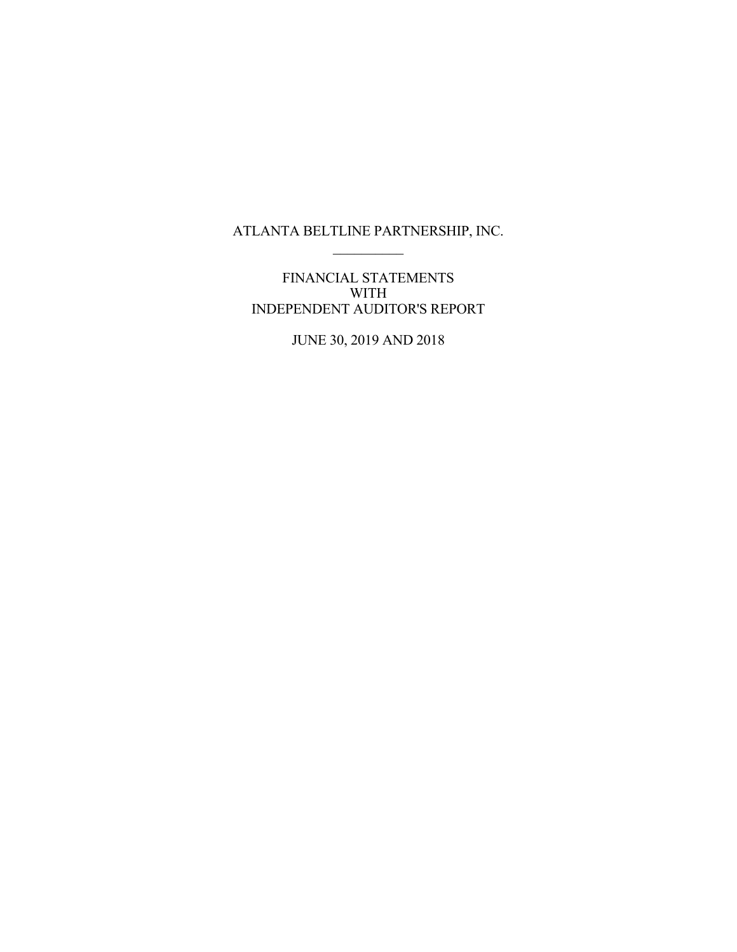# ATLANTA BELTLINE PARTNERSHIP, INC.

 $\frac{1}{2}$ 

FINANCIAL STATEMENTS WITH INDEPENDENT AUDITOR'S REPORT

JUNE 30, 2019 AND 2018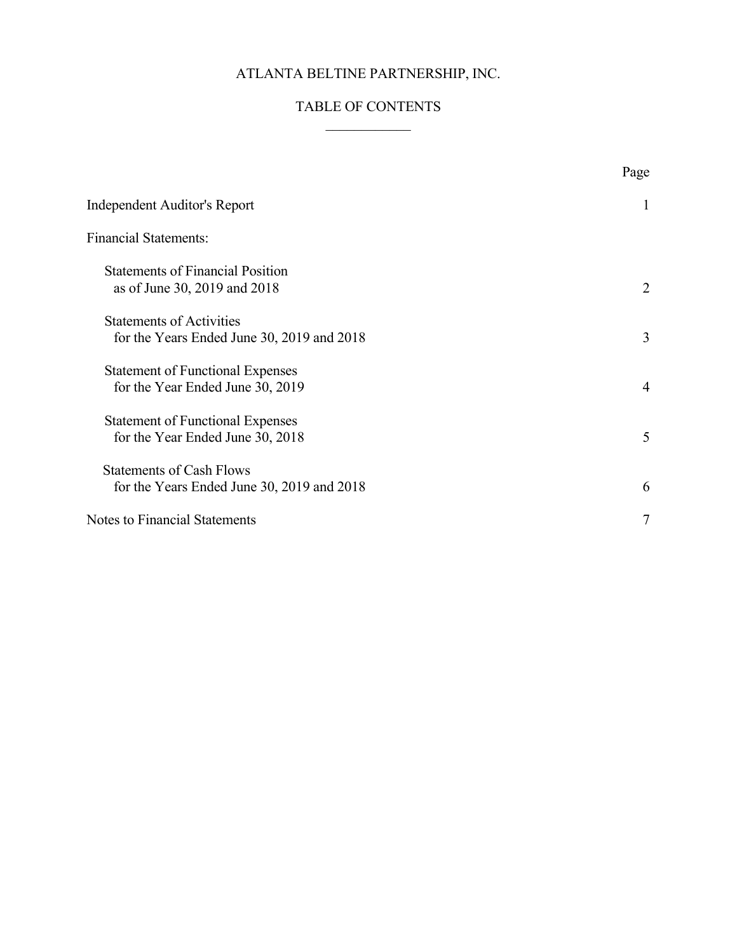# ATLANTA BELTINE PARTNERSHIP, INC.

# TABLE OF CONTENTS

 $\overline{\phantom{a}}$  . The set of the set of the set of the set of the set of the set of the set of the set of the set of the set of the set of the set of the set of the set of the set of the set of the set of the set of the set o

|                                                                               | Page |
|-------------------------------------------------------------------------------|------|
| <b>Independent Auditor's Report</b>                                           | 1    |
| <b>Financial Statements:</b>                                                  |      |
| <b>Statements of Financial Position</b><br>as of June 30, 2019 and 2018       | 2    |
| <b>Statements of Activities</b><br>for the Years Ended June 30, 2019 and 2018 | 3    |
| <b>Statement of Functional Expenses</b><br>for the Year Ended June 30, 2019   | 4    |
| <b>Statement of Functional Expenses</b><br>for the Year Ended June 30, 2018   | 5    |
| <b>Statements of Cash Flows</b><br>for the Years Ended June 30, 2019 and 2018 | 6    |
| <b>Notes to Financial Statements</b>                                          | 7    |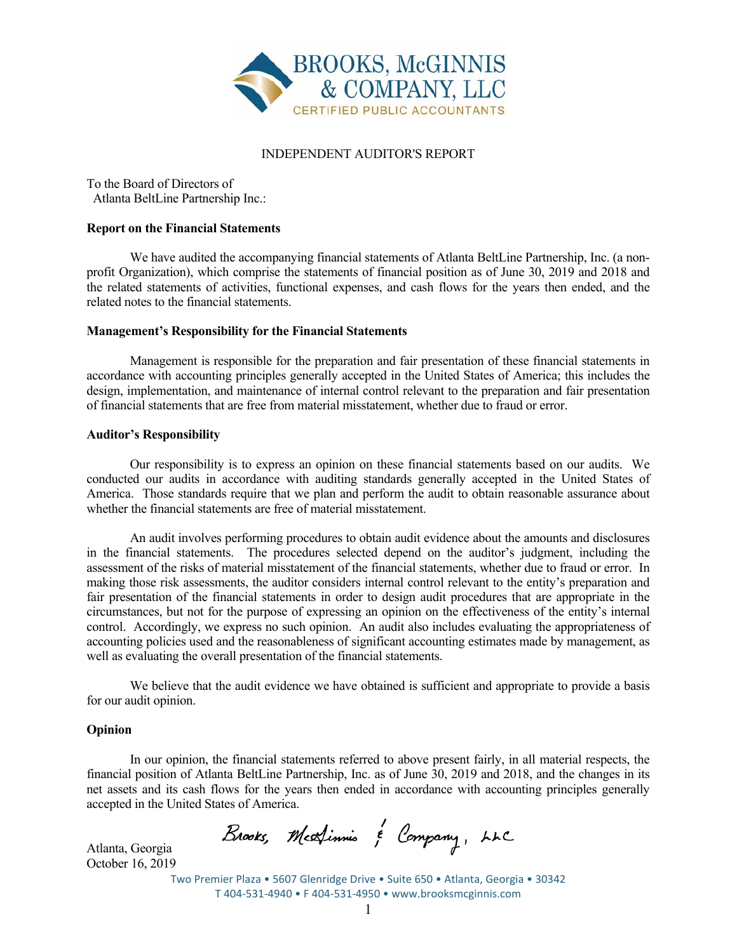

#### INDEPENDENT AUDITOR'S REPORT

To the Board of Directors of Atlanta BeltLine Partnership Inc.:

#### **Report on the Financial Statements**

 We have audited the accompanying financial statements of Atlanta BeltLine Partnership, Inc. (a nonprofit Organization), which comprise the statements of financial position as of June 30, 2019 and 2018 and the related statements of activities, functional expenses, and cash flows for the years then ended, and the related notes to the financial statements.

#### **Management's Responsibility for the Financial Statements**

 Management is responsible for the preparation and fair presentation of these financial statements in accordance with accounting principles generally accepted in the United States of America; this includes the design, implementation, and maintenance of internal control relevant to the preparation and fair presentation of financial statements that are free from material misstatement, whether due to fraud or error.

#### **Auditor's Responsibility**

 Our responsibility is to express an opinion on these financial statements based on our audits. We conducted our audits in accordance with auditing standards generally accepted in the United States of America. Those standards require that we plan and perform the audit to obtain reasonable assurance about whether the financial statements are free of material misstatement.

 An audit involves performing procedures to obtain audit evidence about the amounts and disclosures in the financial statements. The procedures selected depend on the auditor's judgment, including the assessment of the risks of material misstatement of the financial statements, whether due to fraud or error. In making those risk assessments, the auditor considers internal control relevant to the entity's preparation and fair presentation of the financial statements in order to design audit procedures that are appropriate in the circumstances, but not for the purpose of expressing an opinion on the effectiveness of the entity's internal control. Accordingly, we express no such opinion. An audit also includes evaluating the appropriateness of accounting policies used and the reasonableness of significant accounting estimates made by management, as well as evaluating the overall presentation of the financial statements.

We believe that the audit evidence we have obtained is sufficient and appropriate to provide a basis for our audit opinion.

#### **Opinion**

 In our opinion, the financial statements referred to above present fairly, in all material respects, the financial position of Atlanta BeltLine Partnership, Inc. as of June 30, 2019 and 2018, and the changes in its net assets and its cash flows for the years then ended in accordance with accounting principles generally accepted in the United States of America.

Brooks, Mextinnis & Company, LLC

Atlanta, Georgia October 16, 2019

> Two Premier Plaza • 5607 Glenridge Drive • Suite 650 • Atlanta, Georgia • 30342 T 404‐531‐4940 • F 404‐531‐4950 • www.brooksmcginnis.com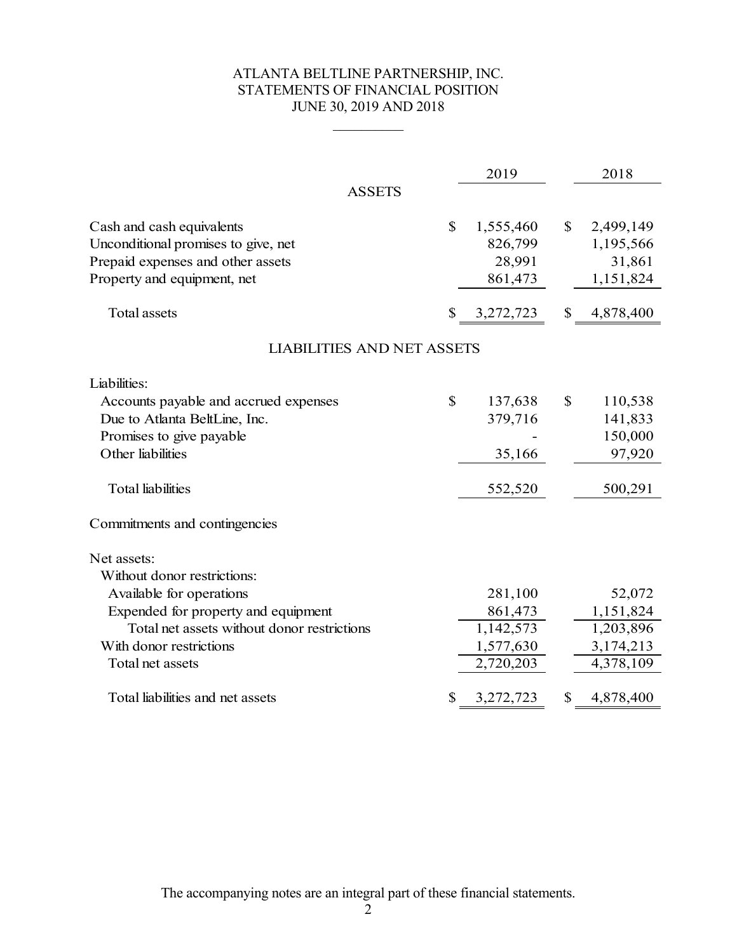# ATLANTA BELTLINE PARTNERSHIP, INC. STATEMENTS OF FINANCIAL POSITION JUNE 30, 2019 AND 2018

|                                                                                                                                      |              | 2019                                      |              | 2018                                          |
|--------------------------------------------------------------------------------------------------------------------------------------|--------------|-------------------------------------------|--------------|-----------------------------------------------|
| <b>ASSETS</b>                                                                                                                        |              |                                           |              |                                               |
| Cash and cash equivalents<br>Unconditional promises to give, net<br>Prepaid expenses and other assets<br>Property and equipment, net | $\mathbb{S}$ | 1,555,460<br>826,799<br>28,991<br>861,473 | $\mathbb{S}$ | 2,499,149<br>1,195,566<br>31,861<br>1,151,824 |
| <b>Total assets</b>                                                                                                                  |              | $\$\quad 3,272,723$                       |              | \$4,878,400                                   |
| <b>LIABILITIES AND NET ASSETS</b>                                                                                                    |              |                                           |              |                                               |
| Liabilities:                                                                                                                         |              |                                           |              |                                               |
| Accounts payable and accrued expenses<br>Due to Atlanta BeltLine, Inc.<br>Promises to give payable                                   | $\mathbb{S}$ | 137,638<br>379,716                        | $\mathbb{S}$ | 110,538<br>141,833<br>150,000                 |
| Other liabilities                                                                                                                    |              | 35,166                                    |              | 97,920                                        |
| <b>Total liabilities</b>                                                                                                             |              | 552,520                                   |              | 500,291                                       |
| Commitments and contingencies                                                                                                        |              |                                           |              |                                               |
| Net assets:<br>Without donor restrictions:                                                                                           |              |                                           |              |                                               |
| Available for operations                                                                                                             |              | 281,100                                   |              | 52,072                                        |
| Expended for property and equipment                                                                                                  |              | 861,473                                   |              | 1,151,824                                     |
| Total net assets without donor restrictions                                                                                          |              | 1,142,573                                 |              | 1,203,896                                     |
| With donor restrictions                                                                                                              |              | 1,577,630                                 |              | 3,174,213                                     |
| Total net assets                                                                                                                     |              | 2,720,203                                 |              | 4,378,109                                     |
| Total liabilities and net assets                                                                                                     |              | $\$\quad 3,272,723$                       |              | \$4,878,400                                   |

The accompanying notes are an integral part of these financial statements.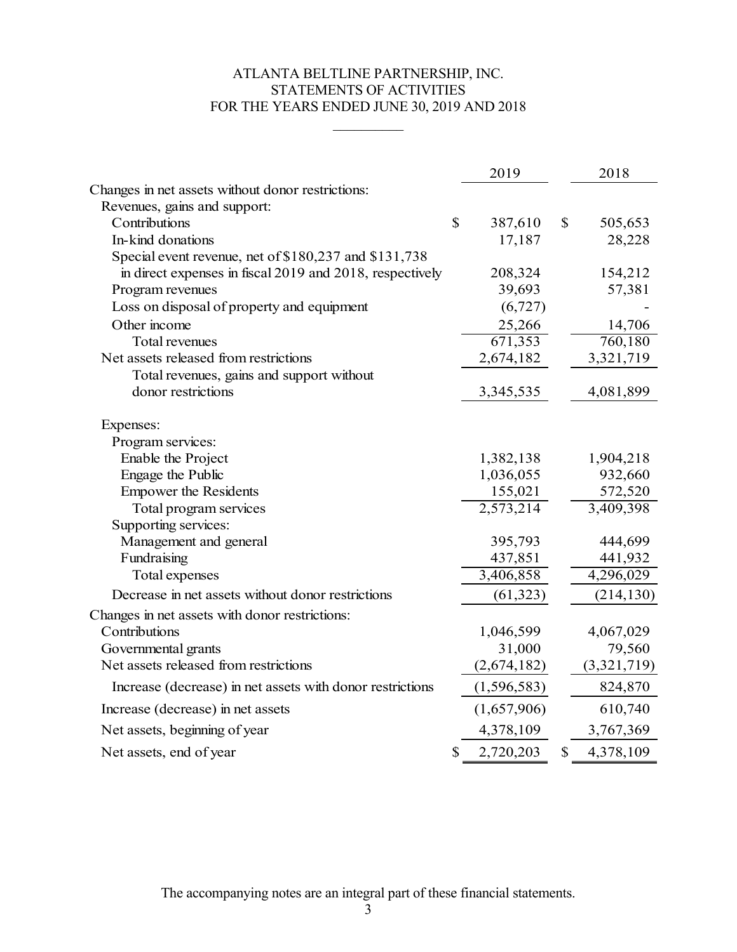# ATLANTA BELTLINE PARTNERSHIP, INC. STATEMENTS OF ACTIVITIES FOR THE YEARS ENDED JUNE 30, 2019 AND 2018

|                                                           | 2019            | 2018            |
|-----------------------------------------------------------|-----------------|-----------------|
| Changes in net assets without donor restrictions:         |                 |                 |
| Revenues, gains and support:                              |                 |                 |
| Contributions                                             | \$<br>387,610   | \$<br>505,653   |
| In-kind donations                                         | 17,187          | 28,228          |
| Special event revenue, net of \$180,237 and \$131,738     |                 |                 |
| in direct expenses in fiscal 2019 and 2018, respectively  | 208,324         | 154,212         |
| Program revenues                                          | 39,693          | 57,381          |
| Loss on disposal of property and equipment                | (6, 727)        |                 |
| Other income                                              | 25,266          | 14,706          |
| Total revenues                                            | 671,353         | 760,180         |
| Net assets released from restrictions                     | 2,674,182       | 3,321,719       |
| Total revenues, gains and support without                 |                 |                 |
| donor restrictions                                        | 3, 345, 535     | 4,081,899       |
| Expenses:                                                 |                 |                 |
| Program services:                                         |                 |                 |
| Enable the Project                                        | 1,382,138       | 1,904,218       |
| Engage the Public                                         | 1,036,055       | 932,660         |
| <b>Empower the Residents</b>                              | 155,021         | 572,520         |
| Total program services                                    | 2,573,214       | 3,409,398       |
| Supporting services:                                      |                 |                 |
| Management and general                                    | 395,793         | 444,699         |
| Fundraising                                               | 437,851         | 441,932         |
| Total expenses                                            | 3,406,858       | 4,296,029       |
| Decrease in net assets without donor restrictions         | (61, 323)       | (214, 130)      |
| Changes in net assets with donor restrictions:            |                 |                 |
| Contributions                                             | 1,046,599       | 4,067,029       |
| Governmental grants                                       | 31,000          | 79,560          |
| Net assets released from restrictions                     | (2,674,182)     | (3,321,719)     |
| Increase (decrease) in net assets with donor restrictions | (1, 596, 583)   | 824,870         |
| Increase (decrease) in net assets                         | (1,657,906)     | 610,740         |
| Net assets, beginning of year                             | 4,378,109       | 3,767,369       |
| Net assets, end of year                                   | \$<br>2,720,203 | \$<br>4,378,109 |

The accompanying notes are an integral part of these financial statements.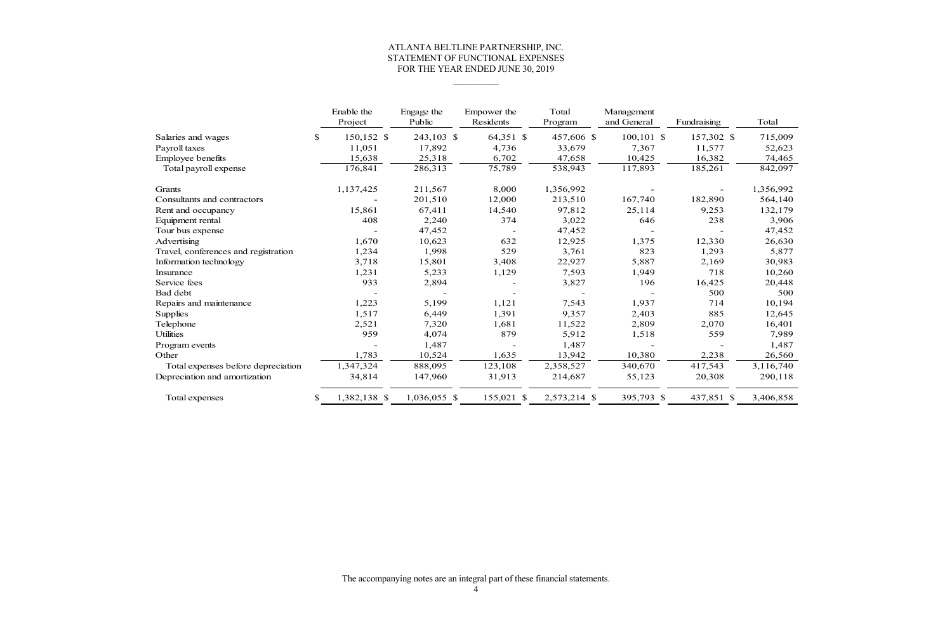# ATLANTA BELTLINE PARTNERSHIP, INC. STATEMENT OF FUNCTIONAL EXPENSES FOR THE YEAR ENDED JUNE 30, 2019

 $\overline{\phantom{a}}$ 

|                                      |    | Enable the<br>Project | Engage the<br>Public | Empower the<br>Residents | Total<br>Program | Management<br>and General | Fundraising | Total     |
|--------------------------------------|----|-----------------------|----------------------|--------------------------|------------------|---------------------------|-------------|-----------|
| Salaries and wages                   | S. | 150,152 \$            | 243,103 \$           | 64,351 \$                | 457,606 \$       | $100, 101$ \$             | 157,302 \$  | 715,009   |
| Payroll taxes                        |    | 11,051                | 17,892               | 4,736                    | 33,679           | 7,367                     | 11,577      | 52,623    |
| Employee benefits                    |    | 15,638                | 25,318               | 6,702                    | 47,658           | 10,425                    | 16,382      | 74,465    |
| Total payroll expense                |    | 176,841               | 286,313              | 75,789                   | 538,943          | 117,893                   | 185,261     | 842,097   |
| Grants                               |    | 1,137,425             | 211,567              | 8,000                    | 1,356,992        |                           |             | 1,356,992 |
| Consultants and contractors          |    |                       | 201,510              | 12,000                   | 213,510          | 167,740                   | 182,890     | 564,140   |
| Rent and occupancy                   |    | 15,861                | 67,411               | 14,540                   | 97,812           | 25,114                    | 9,253       | 132,179   |
| Equipment rental                     |    | 408                   | 2,240                | 374                      | 3,022            | 646                       | 238         | 3,906     |
| Tour bus expense                     |    |                       | 47,452               |                          | 47,452           |                           |             | 47,452    |
| Advertising                          |    | 1,670                 | 10,623               | 632                      | 12,925           | 1,375                     | 12,330      | 26,630    |
| Travel, conferences and registration |    | 1,234                 | 1,998                | 529                      | 3,761            | 823                       | 1,293       | 5,877     |
| Information technology               |    | 3,718                 | 15,801               | 3,408                    | 22,927           | 5,887                     | 2,169       | 30,983    |
| Insurance                            |    | 1,231                 | 5,233                | 1,129                    | 7,593            | 1,949                     | 718         | 10,260    |
| Service fees                         |    | 933                   | 2,894                |                          | 3,827            | 196                       | 16,425      | 20,448    |
| Bad debt                             |    |                       |                      |                          |                  |                           | 500         | 500       |
| Repairs and maintenance              |    | 1,223                 | 5,199                | 1,121                    | 7,543            | 1,937                     | 714         | 10,194    |
| <b>Supplies</b>                      |    | 1,517                 | 6,449                | 1,391                    | 9,357            | 2,403                     | 885         | 12,645    |
| Telephone                            |    | 2,521                 | 7,320                | 1,681                    | 11,522           | 2,809                     | 2,070       | 16,401    |
| <b>Utilities</b>                     |    | 959                   | 4,074                | 879                      | 5,912            | 1,518                     | 559         | 7,989     |
| Program events                       |    |                       | 1,487                |                          | 1,487            |                           |             | 1,487     |
| Other                                |    | 1,783                 | 10,524               | 1,635                    | 13,942           | 10,380                    | 2,238       | 26,560    |
| Total expenses before depreciation   |    | 1,347,324             | 888,095              | 123,108                  | 2,358,527        | 340,670                   | 417,543     | 3,116,740 |
| Depreciation and amortization        |    | 34,814                | 147,960              | 31,913                   | 214,687          | 55,123                    | 20,308      | 290,118   |
| Total expenses                       | S. | 1,382,138 \$          | 1,036,055 \$         | 155,021 \$               | 2,573,214 \$     | 395,793 \$                | 437,851 \$  | 3,406,858 |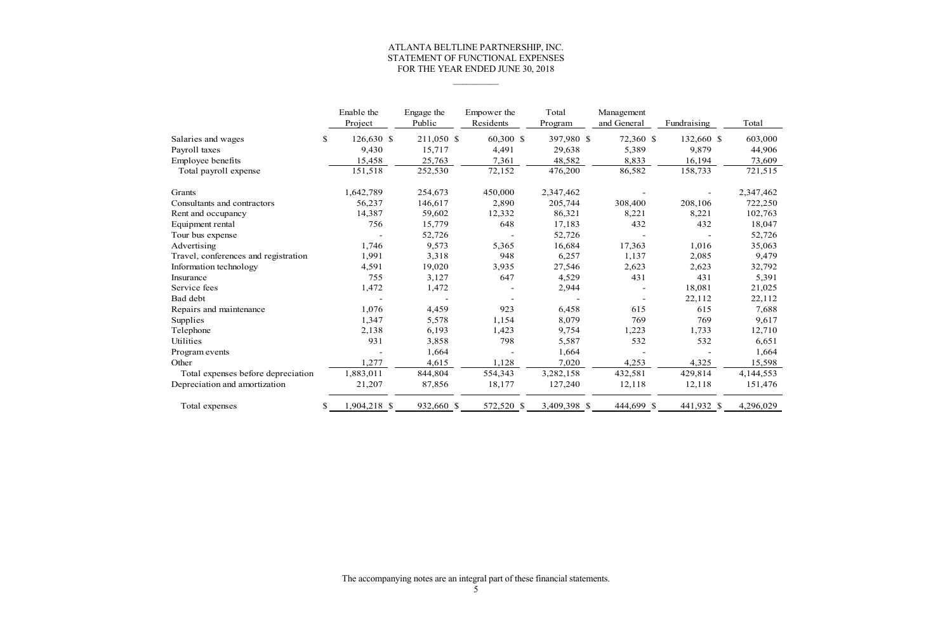# ATLANTA BELTLINE PARTNERSHIP, INC. STATEMENT OF FUNCTIONAL EXPENSES FOR THE YEAR ENDED JUNE 30, 2018

 $\overline{\phantom{a}}$ 

|                                      |              | Enable the<br>Project | Engage the<br>Public | Empower the<br>Residents | Total<br>Program | Management<br>and General | Fundraising | Total     |
|--------------------------------------|--------------|-----------------------|----------------------|--------------------------|------------------|---------------------------|-------------|-----------|
|                                      | \$           | 126,630 \$            | 211,050 \$           | 60,300 \$                | 397,980 \$       | 72,360 \$                 | 132,660 \$  | 603,000   |
| Salaries and wages<br>Payroll taxes  |              | 9,430                 | 15,717               | 4,491                    | 29,638           | 5,389                     | 9,879       | 44,906    |
|                                      |              |                       |                      |                          |                  |                           |             |           |
| Employee benefits                    |              | 15,458                | 25,763               | 7,361                    | 48,582           | 8,833                     | 16,194      | 73,609    |
| Total payroll expense                |              | 151,518               | 252,530              | 72,152                   | 476,200          | 86,582                    | 158,733     | 721,515   |
| Grants                               |              | 1,642,789             | 254,673              | 450,000                  | 2,347,462        |                           |             | 2,347,462 |
| Consultants and contractors          |              | 56,237                | 146,617              | 2,890                    | 205,744          | 308,400                   | 208,106     | 722,250   |
| Rent and occupancy                   |              | 14,387                | 59,602               | 12,332                   | 86,321           | 8,221                     | 8,221       | 102,763   |
| Equipment rental                     |              | 756                   | 15,779               | 648                      | 17,183           | 432                       | 432         | 18,047    |
| Tour bus expense                     |              |                       | 52,726               |                          | 52,726           |                           |             | 52,726    |
| Advertising                          |              | 1,746                 | 9,573                | 5,365                    | 16,684           | 17,363                    | 1,016       | 35,063    |
| Travel, conferences and registration |              | 1,991                 | 3,318                | 948                      | 6,257            | 1,137                     | 2,085       | 9,479     |
| Information technology               |              | 4,591                 | 19,020               | 3,935                    | 27,546           | 2,623                     | 2,623       | 32,792    |
| Insurance                            |              | 755                   | 3,127                | 647                      | 4,529            | 431                       | 431         | 5,391     |
| Service fees                         |              | 1,472                 | 1,472                |                          | 2,944            |                           | 18,081      | 21,025    |
| Bad debt                             |              |                       |                      |                          |                  |                           | 22,112      | 22,112    |
| Repairs and maintenance              |              | 1,076                 | 4,459                | 923                      | 6,458            | 615                       | 615         | 7,688     |
| Supplies                             |              | 1,347                 | 5,578                | 1,154                    | 8,079            | 769                       | 769         | 9,617     |
| Telephone                            |              | 2,138                 | 6,193                | 1,423                    | 9,754            | 1,223                     | 1,733       | 12,710    |
| Utilities                            |              | 931                   | 3,858                | 798                      | 5,587            | 532                       | 532         | 6,651     |
| Program events                       |              |                       | 1,664                |                          | 1,664            |                           |             | 1,664     |
| Other                                |              | 1,277                 | 4,615                | 1,128                    | 7,020            | 4,253                     | 4,325       | 15,598    |
| Total expenses before depreciation   |              | 1,883,011             | 844,804              | 554,343                  | 3,282,158        | 432,581                   | 429,814     | 4,144,553 |
| Depreciation and amortization        |              | 21,207                | 87,856               | 18,177                   | 127,240          | 12,118                    | 12,118      | 151,476   |
| Total expenses                       | $\mathbb{S}$ | 1,904,218 \$          | 932,660 \$           | 572,520 \$               | 3,409,398 \$     | 444,699 \$                | 441,932 \$  | 4,296,029 |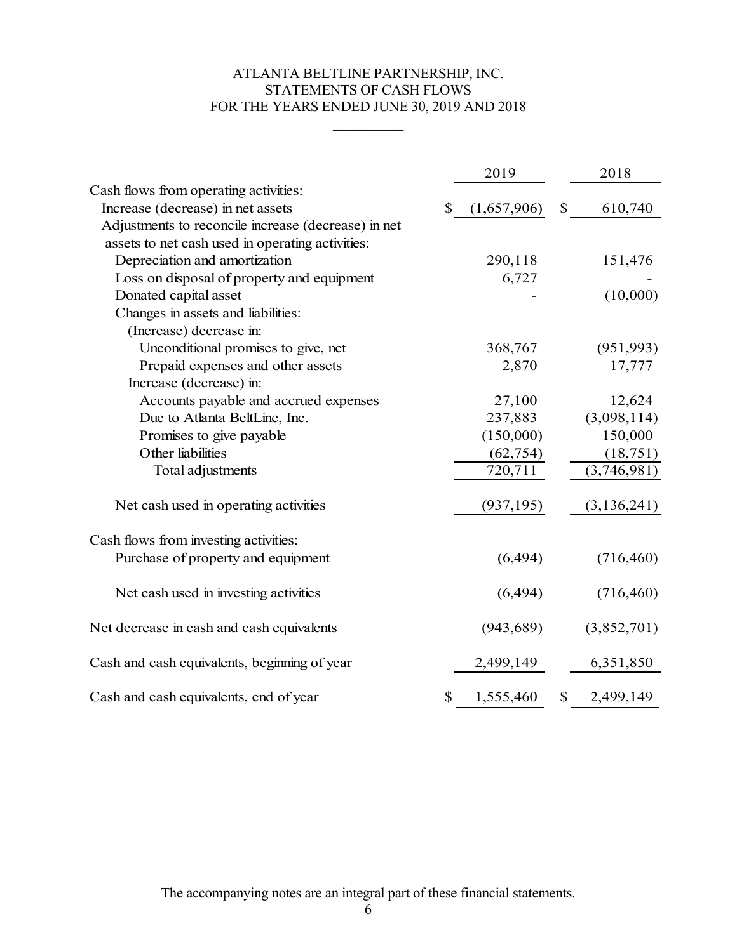# ATLANTA BELTLINE PARTNERSHIP, INC. STATEMENTS OF CASH FLOWS FOR THE YEARS ENDED JUNE 30, 2019 AND 2018

|                                                     | 2019              | 2018            |
|-----------------------------------------------------|-------------------|-----------------|
| Cash flows from operating activities:               |                   |                 |
| Increase (decrease) in net assets                   | \$<br>(1,657,906) | \$<br>610,740   |
| Adjustments to reconcile increase (decrease) in net |                   |                 |
| assets to net cash used in operating activities:    |                   |                 |
| Depreciation and amortization                       | 290,118           | 151,476         |
| Loss on disposal of property and equipment          | 6,727             |                 |
| Donated capital asset                               |                   | (10,000)        |
| Changes in assets and liabilities:                  |                   |                 |
| (Increase) decrease in:                             |                   |                 |
| Unconditional promises to give, net                 | 368,767           | (951, 993)      |
| Prepaid expenses and other assets                   | 2,870             | 17,777          |
| Increase (decrease) in:                             |                   |                 |
| Accounts payable and accrued expenses               | 27,100            | 12,624          |
| Due to Atlanta BeltLine, Inc.                       | 237,883           | (3,098,114)     |
| Promises to give payable                            | (150,000)         | 150,000         |
| Other liabilities                                   | (62, 754)         | (18, 751)       |
| Total adjustments                                   | 720,711           | (3,746,981)     |
| Net cash used in operating activities               | (937, 195)        | (3, 136, 241)   |
| Cash flows from investing activities:               |                   |                 |
| Purchase of property and equipment                  | (6, 494)          | (716, 460)      |
| Net cash used in investing activities               | (6, 494)          | (716, 460)      |
| Net decrease in cash and cash equivalents           | (943, 689)        | (3,852,701)     |
| Cash and cash equivalents, beginning of year        | 2,499,149         | 6,351,850       |
| Cash and cash equivalents, end of year              | \$<br>1,555,460   | \$<br>2,499,149 |

The accompanying notes are an integral part of these financial statements.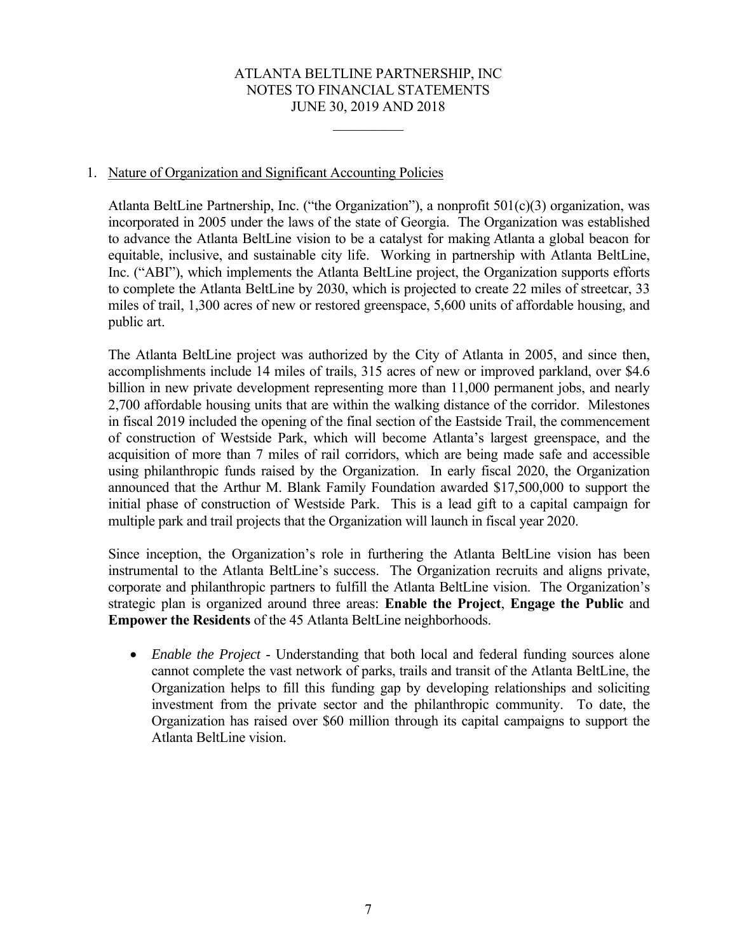#### 1. Nature of Organization and Significant Accounting Policies

Atlanta BeltLine Partnership, Inc. ("the Organization"), a nonprofit  $501(c)(3)$  organization, was incorporated in 2005 under the laws of the state of Georgia. The Organization was established to advance the Atlanta BeltLine vision to be a catalyst for making Atlanta a global beacon for equitable, inclusive, and sustainable city life. Working in partnership with Atlanta BeltLine, Inc. ("ABI"), which implements the Atlanta BeltLine project, the Organization supports efforts to complete the Atlanta BeltLine by 2030, which is projected to create 22 miles of streetcar, 33 miles of trail, 1,300 acres of new or restored greenspace, 5,600 units of affordable housing, and public art.

 The Atlanta BeltLine project was authorized by the City of Atlanta in 2005, and since then, accomplishments include 14 miles of trails, 315 acres of new or improved parkland, over \$4.6 billion in new private development representing more than 11,000 permanent jobs, and nearly 2,700 affordable housing units that are within the walking distance of the corridor. Milestones in fiscal 2019 included the opening of the final section of the Eastside Trail, the commencement of construction of Westside Park, which will become Atlanta's largest greenspace, and the acquisition of more than 7 miles of rail corridors, which are being made safe and accessible using philanthropic funds raised by the Organization. In early fiscal 2020, the Organization announced that the Arthur M. Blank Family Foundation awarded \$17,500,000 to support the initial phase of construction of Westside Park. This is a lead gift to a capital campaign for multiple park and trail projects that the Organization will launch in fiscal year 2020.

 Since inception, the Organization's role in furthering the Atlanta BeltLine vision has been instrumental to the Atlanta BeltLine's success. The Organization recruits and aligns private, corporate and philanthropic partners to fulfill the Atlanta BeltLine vision. The Organization's strategic plan is organized around three areas: **Enable the Project**, **Engage the Public** and **Empower the Residents** of the 45 Atlanta BeltLine neighborhoods.

 *Enable the Project* - Understanding that both local and federal funding sources alone cannot complete the vast network of parks, trails and transit of the Atlanta BeltLine, the Organization helps to fill this funding gap by developing relationships and soliciting investment from the private sector and the philanthropic community. To date, the Organization has raised over \$60 million through its capital campaigns to support the Atlanta BeltLine vision.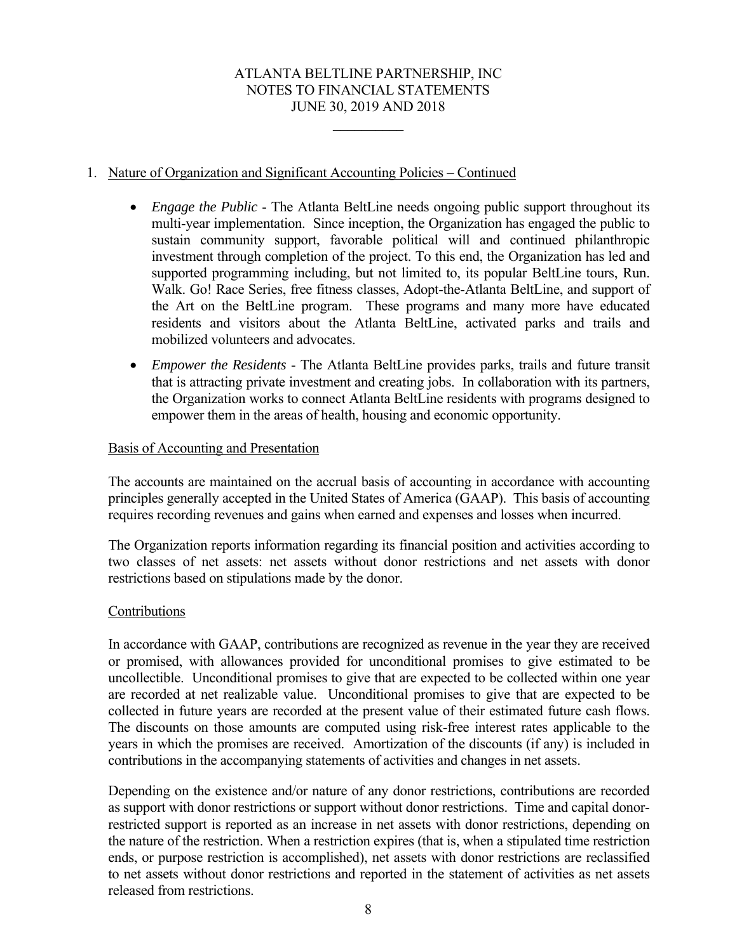# 1. Nature of Organization and Significant Accounting Policies – Continued

- *Engage the Public* The Atlanta BeltLine needs ongoing public support throughout its multi-year implementation. Since inception, the Organization has engaged the public to sustain community support, favorable political will and continued philanthropic investment through completion of the project. To this end, the Organization has led and supported programming including, but not limited to, its popular BeltLine tours, Run. Walk. Go! Race Series, free fitness classes, Adopt-the-Atlanta BeltLine, and support of the Art on the BeltLine program. These programs and many more have educated residents and visitors about the Atlanta BeltLine, activated parks and trails and mobilized volunteers and advocates.
- *Empower the Residents* The Atlanta BeltLine provides parks, trails and future transit that is attracting private investment and creating jobs. In collaboration with its partners, the Organization works to connect Atlanta BeltLine residents with programs designed to empower them in the areas of health, housing and economic opportunity.

# Basis of Accounting and Presentation

 The accounts are maintained on the accrual basis of accounting in accordance with accounting principles generally accepted in the United States of America (GAAP). This basis of accounting requires recording revenues and gains when earned and expenses and losses when incurred.

 The Organization reports information regarding its financial position and activities according to two classes of net assets: net assets without donor restrictions and net assets with donor restrictions based on stipulations made by the donor.

# Contributions

 In accordance with GAAP, contributions are recognized as revenue in the year they are received or promised, with allowances provided for unconditional promises to give estimated to be uncollectible. Unconditional promises to give that are expected to be collected within one year are recorded at net realizable value. Unconditional promises to give that are expected to be collected in future years are recorded at the present value of their estimated future cash flows. The discounts on those amounts are computed using risk-free interest rates applicable to the years in which the promises are received. Amortization of the discounts (if any) is included in contributions in the accompanying statements of activities and changes in net assets.

 Depending on the existence and/or nature of any donor restrictions, contributions are recorded as support with donor restrictions or support without donor restrictions. Time and capital donorrestricted support is reported as an increase in net assets with donor restrictions, depending on the nature of the restriction. When a restriction expires (that is, when a stipulated time restriction ends, or purpose restriction is accomplished), net assets with donor restrictions are reclassified to net assets without donor restrictions and reported in the statement of activities as net assets released from restrictions.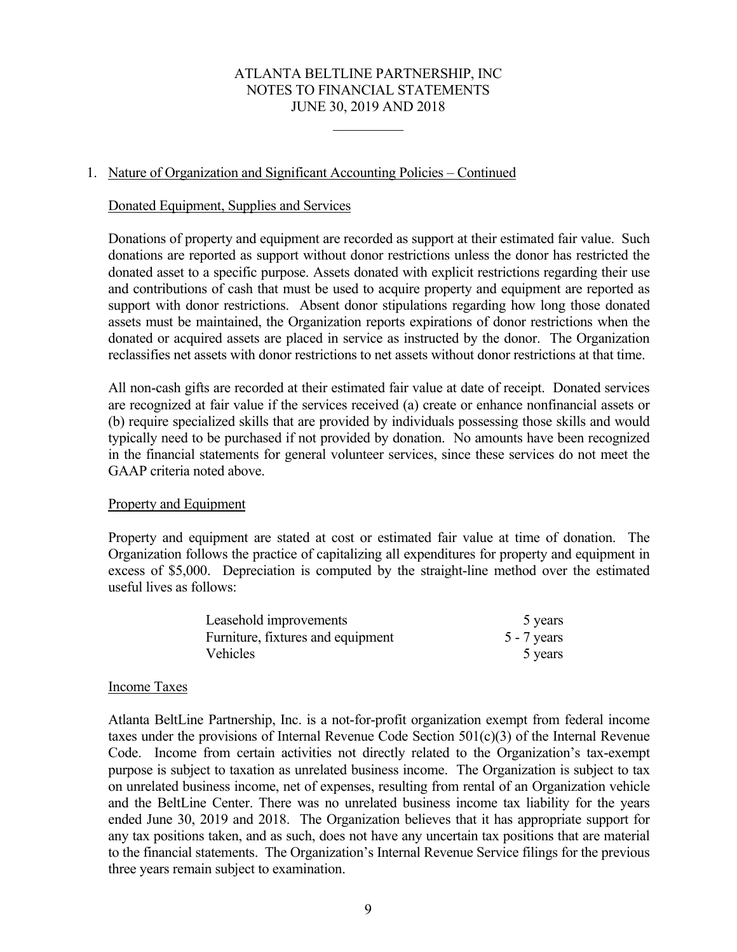# 1. Nature of Organization and Significant Accounting Policies – Continued

# Donated Equipment, Supplies and Services

 Donations of property and equipment are recorded as support at their estimated fair value. Such donations are reported as support without donor restrictions unless the donor has restricted the donated asset to a specific purpose. Assets donated with explicit restrictions regarding their use and contributions of cash that must be used to acquire property and equipment are reported as support with donor restrictions. Absent donor stipulations regarding how long those donated assets must be maintained, the Organization reports expirations of donor restrictions when the donated or acquired assets are placed in service as instructed by the donor. The Organization reclassifies net assets with donor restrictions to net assets without donor restrictions at that time.

 All non-cash gifts are recorded at their estimated fair value at date of receipt. Donated services are recognized at fair value if the services received (a) create or enhance nonfinancial assets or (b) require specialized skills that are provided by individuals possessing those skills and would typically need to be purchased if not provided by donation. No amounts have been recognized in the financial statements for general volunteer services, since these services do not meet the GAAP criteria noted above.

# Property and Equipment

 Property and equipment are stated at cost or estimated fair value at time of donation. The Organization follows the practice of capitalizing all expenditures for property and equipment in excess of \$5,000. Depreciation is computed by the straight-line method over the estimated useful lives as follows:

| Leasehold improvements            | 5 years       |
|-----------------------------------|---------------|
| Furniture, fixtures and equipment | $5 - 7$ years |
| <b>Vehicles</b>                   | 5 years       |

# Income Taxes

 Atlanta BeltLine Partnership, Inc. is a not-for-profit organization exempt from federal income taxes under the provisions of Internal Revenue Code Section 501(c)(3) of the Internal Revenue Code. Income from certain activities not directly related to the Organization's tax-exempt purpose is subject to taxation as unrelated business income. The Organization is subject to tax on unrelated business income, net of expenses, resulting from rental of an Organization vehicle and the BeltLine Center. There was no unrelated business income tax liability for the years ended June 30, 2019 and 2018. The Organization believes that it has appropriate support for any tax positions taken, and as such, does not have any uncertain tax positions that are material to the financial statements. The Organization's Internal Revenue Service filings for the previous three years remain subject to examination.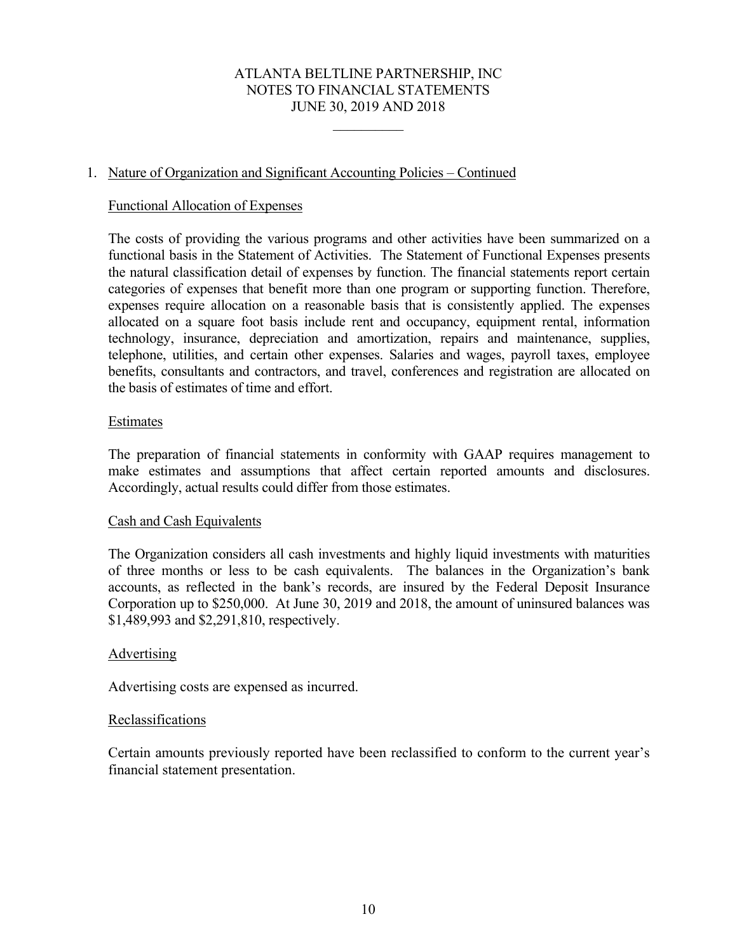# 1. Nature of Organization and Significant Accounting Policies – Continued

# Functional Allocation of Expenses

 The costs of providing the various programs and other activities have been summarized on a functional basis in the Statement of Activities. The Statement of Functional Expenses presents the natural classification detail of expenses by function. The financial statements report certain categories of expenses that benefit more than one program or supporting function. Therefore, expenses require allocation on a reasonable basis that is consistently applied. The expenses allocated on a square foot basis include rent and occupancy, equipment rental, information technology, insurance, depreciation and amortization, repairs and maintenance, supplies, telephone, utilities, and certain other expenses. Salaries and wages, payroll taxes, employee benefits, consultants and contractors, and travel, conferences and registration are allocated on the basis of estimates of time and effort.

# Estimates

 The preparation of financial statements in conformity with GAAP requires management to make estimates and assumptions that affect certain reported amounts and disclosures. Accordingly, actual results could differ from those estimates.

# Cash and Cash Equivalents

 The Organization considers all cash investments and highly liquid investments with maturities of three months or less to be cash equivalents. The balances in the Organization's bank accounts, as reflected in the bank's records, are insured by the Federal Deposit Insurance Corporation up to \$250,000. At June 30, 2019 and 2018, the amount of uninsured balances was \$1,489,993 and \$2,291,810, respectively.

# Advertising

Advertising costs are expensed as incurred.

# Reclassifications

 Certain amounts previously reported have been reclassified to conform to the current year's financial statement presentation.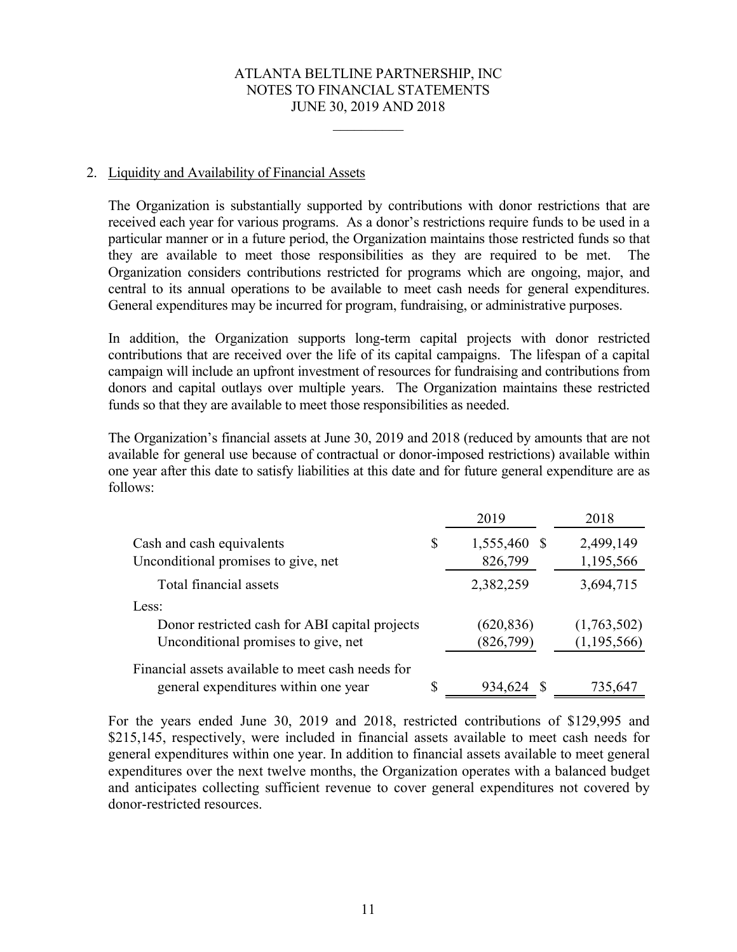# 2. Liquidity and Availability of Financial Assets

 The Organization is substantially supported by contributions with donor restrictions that are received each year for various programs. As a donor's restrictions require funds to be used in a particular manner or in a future period, the Organization maintains those restricted funds so that they are available to meet those responsibilities as they are required to be met. The Organization considers contributions restricted for programs which are ongoing, major, and central to its annual operations to be available to meet cash needs for general expenditures. General expenditures may be incurred for program, fundraising, or administrative purposes.

 In addition, the Organization supports long-term capital projects with donor restricted contributions that are received over the life of its capital campaigns. The lifespan of a capital campaign will include an upfront investment of resources for fundraising and contributions from donors and capital outlays over multiple years. The Organization maintains these restricted funds so that they are available to meet those responsibilities as needed.

 The Organization's financial assets at June 30, 2019 and 2018 (reduced by amounts that are not available for general use because of contractual or donor-imposed restrictions) available within one year after this date to satisfy liabilities at this date and for future general expenditure are as follows:

|                                                                                           | 2019                              | 2018                         |
|-------------------------------------------------------------------------------------------|-----------------------------------|------------------------------|
| Cash and cash equivalents<br>Unconditional promises to give, net                          | \$<br>1,555,460<br>- S<br>826,799 | 2,499,149<br>1,195,566       |
| Total financial assets                                                                    | 2,382,259                         | 3,694,715                    |
| Less:                                                                                     |                                   |                              |
| Donor restricted cash for ABI capital projects<br>Unconditional promises to give, net     | (620, 836)<br>(826,799)           | (1,763,502)<br>(1, 195, 566) |
| Financial assets available to meet cash needs for<br>general expenditures within one year | \$<br>934,624                     | 735,647                      |

For the years ended June 30, 2019 and 2018, restricted contributions of \$129,995 and \$215,145, respectively, were included in financial assets available to meet cash needs for general expenditures within one year. In addition to financial assets available to meet general expenditures over the next twelve months, the Organization operates with a balanced budget and anticipates collecting sufficient revenue to cover general expenditures not covered by donor-restricted resources.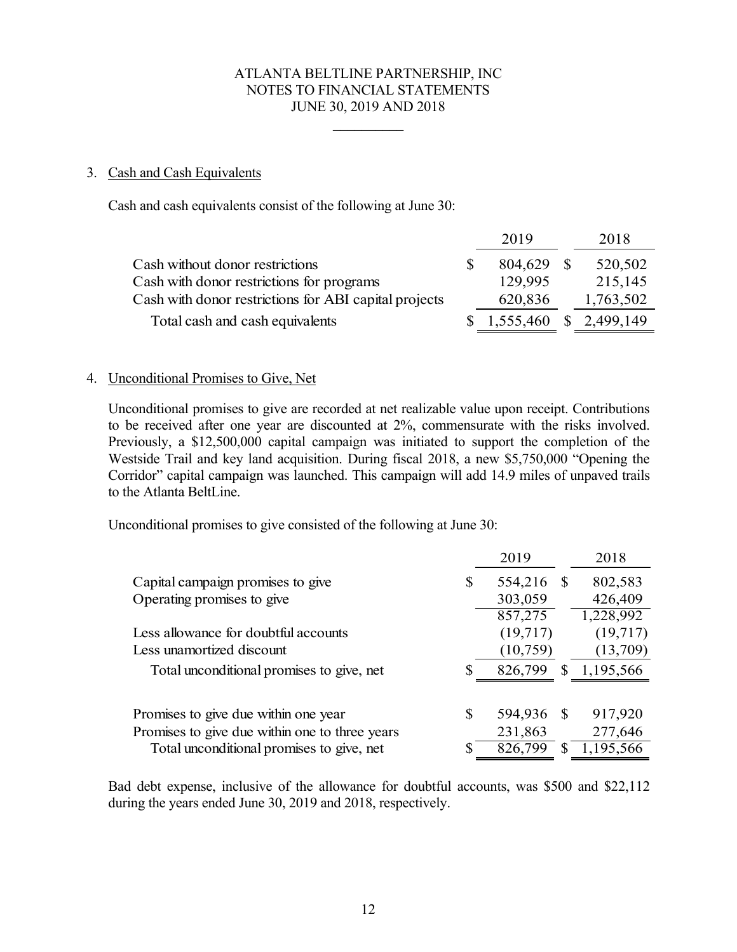#### 3. Cash and Cash Equivalents

Cash and cash equivalents consist of the following at June 30:

|                                                       | 2019                     |     | 2018      |
|-------------------------------------------------------|--------------------------|-----|-----------|
| Cash without donor restrictions                       | 804,629                  | - S | 520,502   |
| Cash with donor restrictions for programs             | 129,995                  |     | 215,145   |
| Cash with donor restrictions for ABI capital projects | 620,836                  |     | 1,763,502 |
| Total cash and cash equivalents                       | $$1,555,460 \$2,499,149$ |     |           |

#### 4. Unconditional Promises to Give, Net

 Unconditional promises to give are recorded at net realizable value upon receipt. Contributions to be received after one year are discounted at 2%, commensurate with the risks involved. Previously, a \$12,500,000 capital campaign was initiated to support the completion of the Westside Trail and key land acquisition. During fiscal 2018, a new \$5,750,000 "Opening the Corridor" capital campaign was launched. This campaign will add 14.9 miles of unpaved trails to the Atlanta BeltLine.

Unconditional promises to give consisted of the following at June 30:

|                                                |    | 2019     |     | 2018      |
|------------------------------------------------|----|----------|-----|-----------|
| Capital campaign promises to give              | \$ | 554,216  | - S | 802,583   |
| Operating promises to give                     |    | 303,059  |     | 426,409   |
|                                                |    | 857,275  |     | 1,228,992 |
| Less allowance for doubtful accounts           |    | (19,717) |     | (19,717)  |
| Less unamortized discount                      |    | (10,759) |     | (13,709)  |
| Total unconditional promises to give, net      | S  | 826,799  | \$  | 1,195,566 |
|                                                |    |          |     |           |
| Promises to give due within one year           | S  | 594,936  | - S | 917,920   |
| Promises to give due within one to three years |    | 231,863  |     | 277,646   |
| Total unconditional promises to give, net      |    | 826,799  |     | 1,195,566 |

 Bad debt expense, inclusive of the allowance for doubtful accounts, was \$500 and \$22,112 during the years ended June 30, 2019 and 2018, respectively.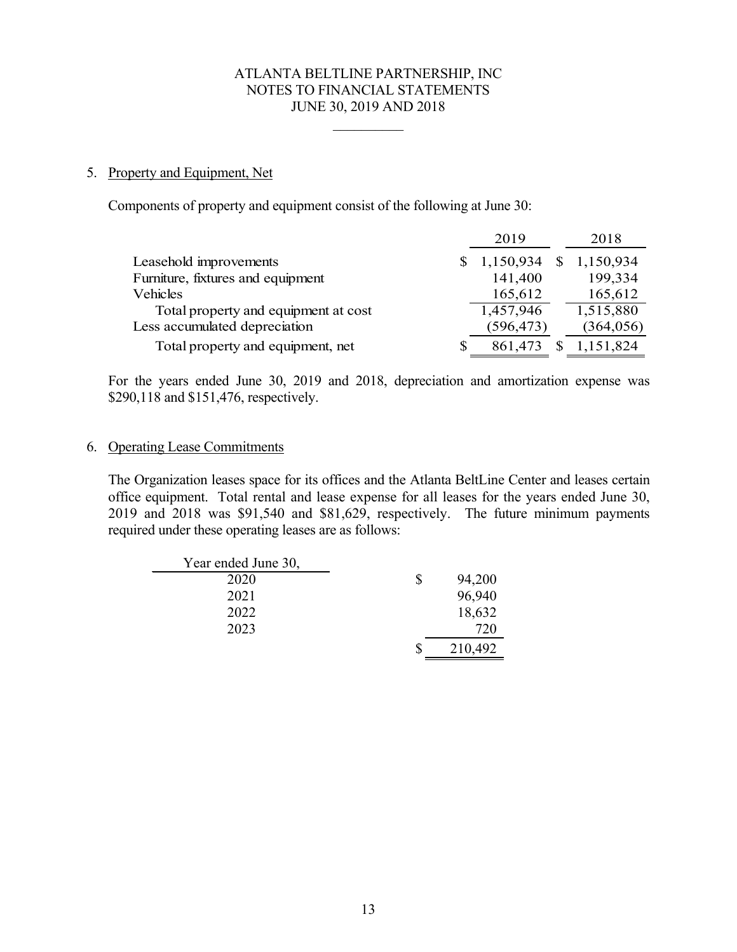#### 5. Property and Equipment, Net

Components of property and equipment consist of the following at June 30:

|                                      |   | 2019        |    | 2018       |
|--------------------------------------|---|-------------|----|------------|
| Leasehold improvements               |   | \$1,150,934 | S. | 1,150,934  |
| Furniture, fixtures and equipment    |   | 141,400     |    | 199,334    |
| Vehicles                             |   | 165,612     |    | 165,612    |
| Total property and equipment at cost |   | 1,457,946   |    | 1,515,880  |
| Less accumulated depreciation        |   | (596, 473)  |    | (364, 056) |
| Total property and equipment, net    | S | 861,473     |    | 1,151,824  |

 For the years ended June 30, 2019 and 2018, depreciation and amortization expense was \$290,118 and \$151,476, respectively.

#### 6. Operating Lease Commitments

 The Organization leases space for its offices and the Atlanta BeltLine Center and leases certain office equipment. Total rental and lease expense for all leases for the years ended June 30, 2019 and 2018 was \$91,540 and \$81,629, respectively. The future minimum payments required under these operating leases are as follows:

| Year ended June 30, |               |
|---------------------|---------------|
| 2020                | \$<br>94,200  |
| 2021                | 96,940        |
| 2022                | 18,632        |
| 2023                | 720           |
|                     | \$<br>210,492 |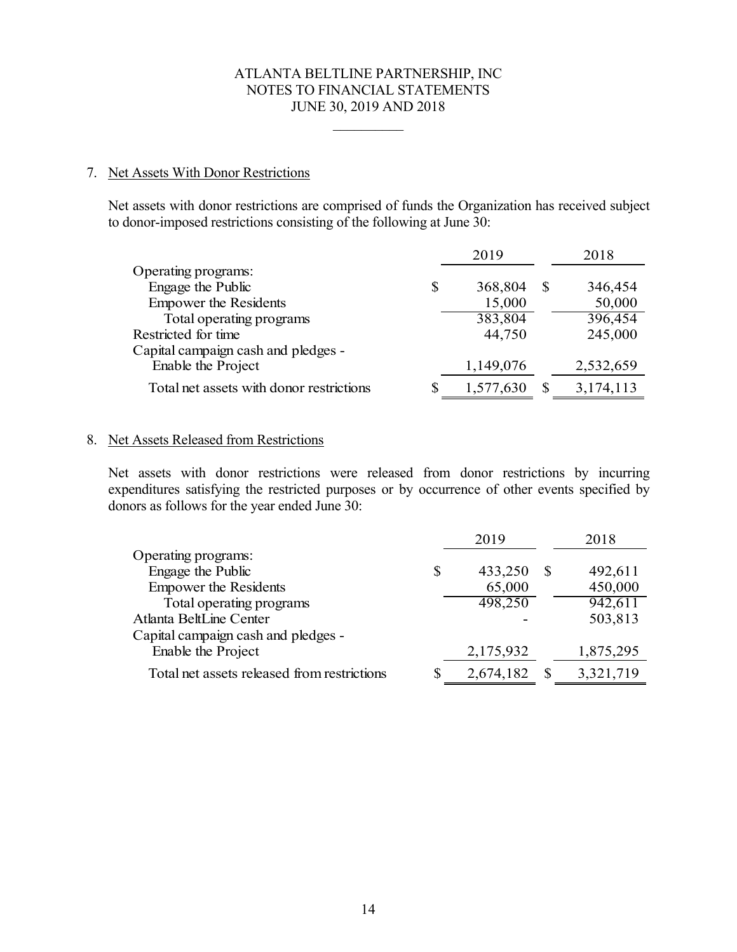#### 7. Net Assets With Donor Restrictions

 Net assets with donor restrictions are comprised of funds the Organization has received subject to donor-imposed restrictions consisting of the following at June 30:

|                                          |    | 2019      |   | 2018      |
|------------------------------------------|----|-----------|---|-----------|
| Operating programs:                      |    |           |   |           |
| Engage the Public                        | \$ | 368,804   | S | 346,454   |
| <b>Empower the Residents</b>             |    | 15,000    |   | 50,000    |
| Total operating programs                 |    | 383,804   |   | 396,454   |
| Restricted for time                      |    | 44,750    |   | 245,000   |
| Capital campaign cash and pledges -      |    |           |   |           |
| Enable the Project                       |    | 1,149,076 |   | 2,532,659 |
| Total net assets with donor restrictions | S  | 1,577,630 |   | 3,174,113 |

#### 8. Net Assets Released from Restrictions

 Net assets with donor restrictions were released from donor restrictions by incurring expenditures satisfying the restricted purposes or by occurrence of other events specified by donors as follows for the year ended June 30:

|                                             |    | 2019      |          | 2018      |
|---------------------------------------------|----|-----------|----------|-----------|
| Operating programs:                         |    |           |          |           |
| Engage the Public                           | \$ | 433,250   | S        | 492,611   |
| <b>Empower the Residents</b>                |    | 65,000    |          | 450,000   |
| Total operating programs                    |    | 498,250   |          | 942,611   |
| Atlanta BeltLine Center                     |    |           |          | 503,813   |
| Capital campaign cash and pledges -         |    |           |          |           |
| Enable the Project                          |    | 2,175,932 |          | 1,875,295 |
| Total net assets released from restrictions | S  | 2,674,182 | <b>S</b> | 3,321,719 |